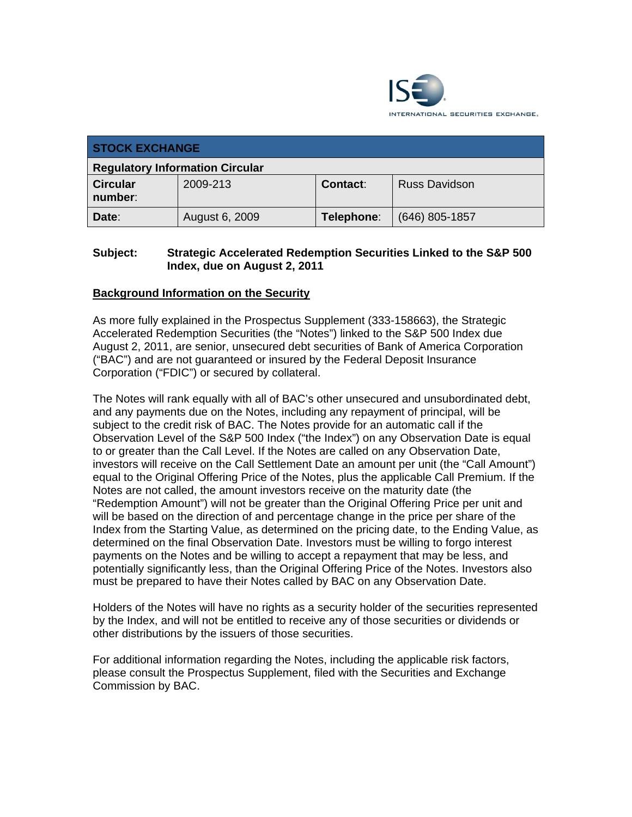

| <b>STOCK EXCHANGE</b>                  |                |            |                      |  |
|----------------------------------------|----------------|------------|----------------------|--|
| <b>Regulatory Information Circular</b> |                |            |                      |  |
| <b>Circular</b><br>number:             | 2009-213       | Contact:   | <b>Russ Davidson</b> |  |
| Date:                                  | August 6, 2009 | Telephone: | $(646)$ 805-1857     |  |

## **Subject: Strategic Accelerated Redemption Securities Linked to the S&P 500 Index, due on August 2, 2011**

## **Background Information on the Security**

As more fully explained in the Prospectus Supplement (333-158663), the Strategic Accelerated Redemption Securities (the "Notes") linked to the S&P 500 Index due August 2, 2011, are senior, unsecured debt securities of Bank of America Corporation ("BAC") and are not guaranteed or insured by the Federal Deposit Insurance Corporation ("FDIC") or secured by collateral.

The Notes will rank equally with all of BAC's other unsecured and unsubordinated debt, and any payments due on the Notes, including any repayment of principal, will be subject to the credit risk of BAC. The Notes provide for an automatic call if the Observation Level of the S&P 500 Index ("the Index") on any Observation Date is equal to or greater than the Call Level. If the Notes are called on any Observation Date, investors will receive on the Call Settlement Date an amount per unit (the "Call Amount") equal to the Original Offering Price of the Notes, plus the applicable Call Premium. If the Notes are not called, the amount investors receive on the maturity date (the "Redemption Amount") will not be greater than the Original Offering Price per unit and will be based on the direction of and percentage change in the price per share of the Index from the Starting Value, as determined on the pricing date, to the Ending Value, as determined on the final Observation Date. Investors must be willing to forgo interest payments on the Notes and be willing to accept a repayment that may be less, and potentially significantly less, than the Original Offering Price of the Notes. Investors also must be prepared to have their Notes called by BAC on any Observation Date.

Holders of the Notes will have no rights as a security holder of the securities represented by the Index, and will not be entitled to receive any of those securities or dividends or other distributions by the issuers of those securities.

For additional information regarding the Notes, including the applicable risk factors, please consult the Prospectus Supplement, filed with the Securities and Exchange Commission by BAC.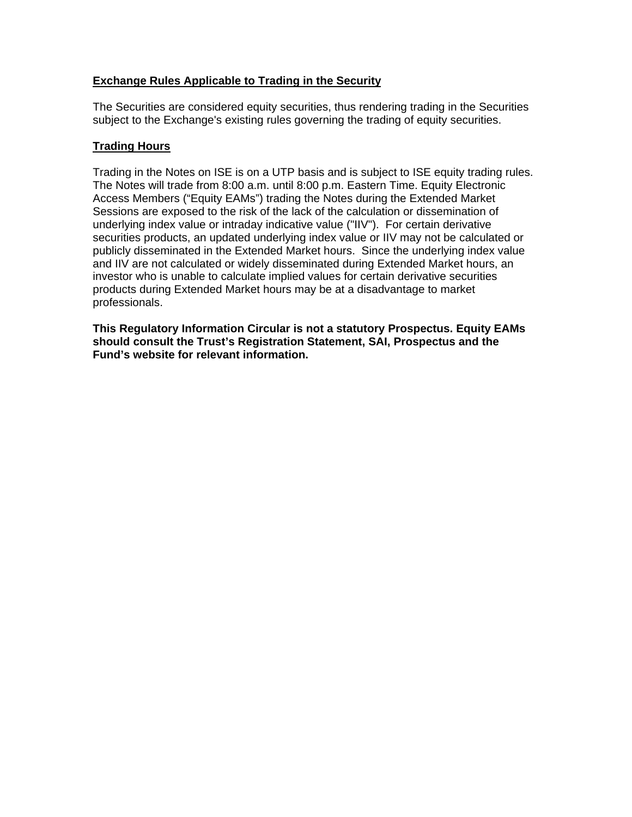## **Exchange Rules Applicable to Trading in the Security**

The Securities are considered equity securities, thus rendering trading in the Securities subject to the Exchange's existing rules governing the trading of equity securities.

## **Trading Hours**

Trading in the Notes on ISE is on a UTP basis and is subject to ISE equity trading rules. The Notes will trade from 8:00 a.m. until 8:00 p.m. Eastern Time. Equity Electronic Access Members ("Equity EAMs") trading the Notes during the Extended Market Sessions are exposed to the risk of the lack of the calculation or dissemination of underlying index value or intraday indicative value ("IIV"). For certain derivative securities products, an updated underlying index value or IIV may not be calculated or publicly disseminated in the Extended Market hours. Since the underlying index value and IIV are not calculated or widely disseminated during Extended Market hours, an investor who is unable to calculate implied values for certain derivative securities products during Extended Market hours may be at a disadvantage to market professionals.

**This Regulatory Information Circular is not a statutory Prospectus. Equity EAMs should consult the Trust's Registration Statement, SAI, Prospectus and the Fund's website for relevant information.**